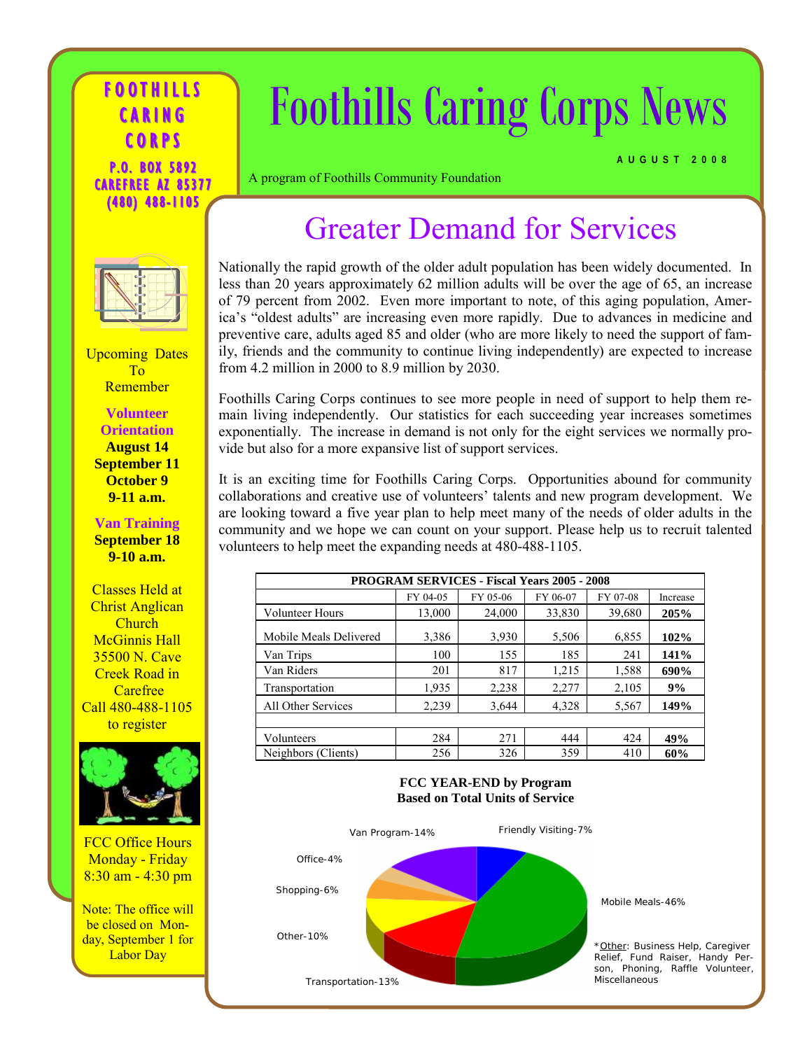#### **FOOTHILLS** CARING CORP S P.O. BOX 5892 CAREFREE AZ 85377 (480) 488-1105

# Foothills Caring Corps News

**AUGUST 2008**

A program of Foothills Community Foundation

## Greater Demand for Services



Upcoming Dates To Remember

**Volunteer Orientation August 14 September 11 October 9 9-11 a.m.** 

**Van Training September 18 9-10 a.m.** 

Classes Held at Christ Anglican Church McGinnis Hall 35500 N. Cave Creek Road in **Carefree** Call 480-488-1105 to register



FCC Office Hours Monday - Friday 8:30 am - 4:30 pm

Note: The office will be closed on Monday, September 1 for Labor Day

Nationally the rapid growth of the older adult population has been widely documented. In less than 20 years approximately 62 million adults will be over the age of 65, an increase of 79 percent from 2002. Even more important to note, of this aging population, America's "oldest adults" are increasing even more rapidly. Due to advances in medicine and preventive care, adults aged 85 and older (who are more likely to need the support of family, friends and the community to continue living independently) are expected to increase from 4.2 million in 2000 to 8.9 million by 2030.

Foothills Caring Corps continues to see more people in need of support to help them remain living independently. Our statistics for each succeeding year increases sometimes exponentially. The increase in demand is not only for the eight services we normally provide but also for a more expansive list of support services.

It is an exciting time for Foothills Caring Corps. Opportunities abound for community collaborations and creative use of volunteers' talents and new program development. We are looking toward a five year plan to help meet many of the needs of older adults in the community and we hope we can count on your support. Please help us to recruit talented volunteers to help meet the expanding needs at 480-488-1105.

| <b>PROGRAM SERVICES - Fiscal Years 2005 - 2008</b> |          |          |          |          |          |
|----------------------------------------------------|----------|----------|----------|----------|----------|
|                                                    | FY 04-05 | FY 05-06 | FY 06-07 | FY 07-08 | Increase |
| <b>Volunteer Hours</b>                             | 13,000   | 24,000   | 33,830   | 39,680   | 205%     |
| Mobile Meals Delivered                             | 3,386    | 3,930    | 5,506    | 6,855    | 102%     |
| Van Trips                                          | 100      | 155      | 185      | 241      | 141%     |
| Van Riders                                         | 201      | 817      | 1,215    | 1,588    | 690%     |
| Transportation                                     | 1,935    | 2,238    | 2,277    | 2,105    | 9%       |
| All Other Services                                 | 2,239    | 3,644    | 4,328    | 5,567    | 149%     |
|                                                    |          |          |          |          |          |
| Volunteers                                         | 284      | 271      | 444      | 424      | 49%      |
| Neighbors (Clients)                                | 256      | 326      | 359      | 410      | 60%      |

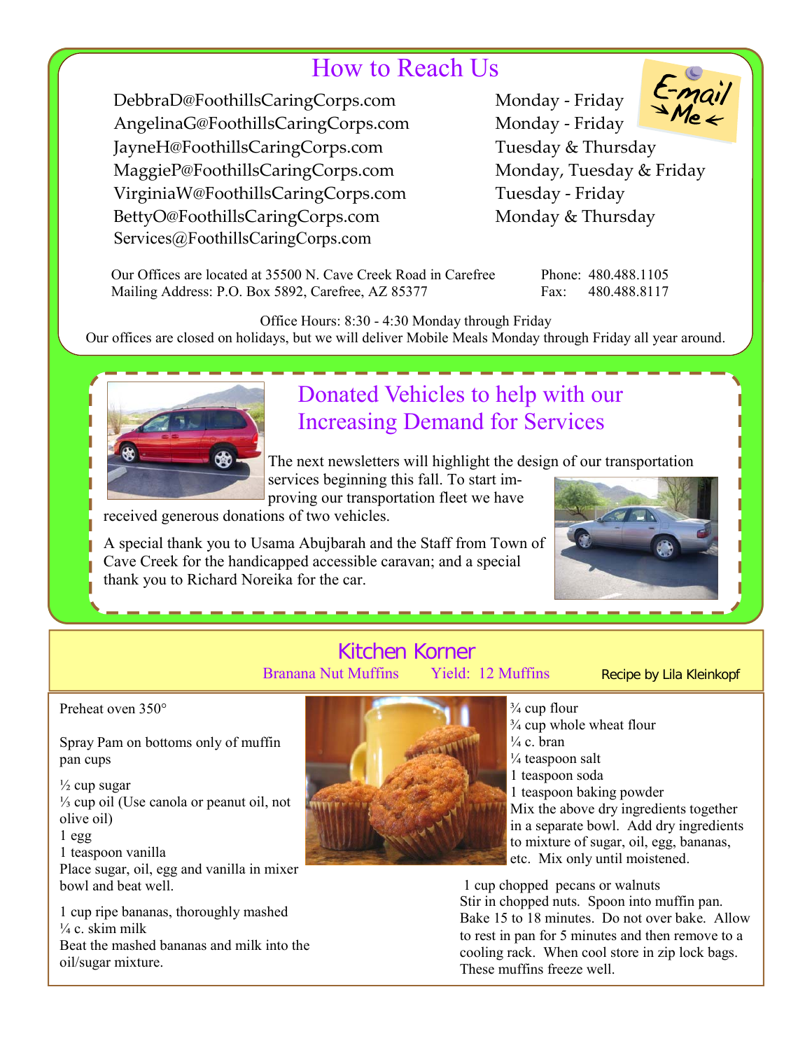## How to Reach Us

DebbraD@FoothillsCaringCorps.com Monday - Friday AngelinaG@FoothillsCaringCorps.com Monday ‐ Friday JayneH@FoothillsCaringCorps.com Tuesday & Thursday MaggieP@FoothillsCaringCorps.com Monday, Tuesday & Friday VirginiaW@FoothillsCaringCorps.com Tuesday ‐ Friday BettyO@FoothillsCaringCorps.com Monday & Thursday Services@FoothillsCaringCorps.com

 Our Offices are located at 35500 N. Cave Creek Road in Carefree Phone: 480.488.1105 Mailing Address: P.O. Box 5892, Carefree, AZ 85377 Fax: 480.488.8117

Office Hours: 8:30 - 4:30 Monday through Friday Our offices are closed on holidays, but we will deliver Mobile Meals Monday through Friday all year around.



## Donated Vehicles to help with our Increasing Demand for Services

The next newsletters will highlight the design of our transportation services beginning this fall. To start im-

proving our transportation fleet we have

received generous donations of two vehicles.

A special thank you to Usama Abujbarah and the Staff from Town of Cave Creek for the handicapped accessible caravan; and a special thank you to Richard Noreika for the car.



#### Kitchen Korner Branana Nut Muffins Yield: 12 Muffins

Recipe by Lila Kleinkopf

Preheat oven 350°

Spray Pam on bottoms only of muffin pan cups

 $\frac{1}{2}$  cup sugar ⅓ cup oil (Use canola or peanut oil, not olive oil)

1 egg

1 teaspoon vanilla

Place sugar, oil, egg and vanilla in mixer bowl and beat well.

1 cup ripe bananas, thoroughly mashed  $\frac{1}{4}$  c. skim milk Beat the mashed bananas and milk into the oil/sugar mixture.



 $\frac{3}{4}$  cup flour  $\frac{3}{4}$  cup whole wheat flour  $\frac{1}{4}$  c. bran ¼ teaspoon salt 1 teaspoon soda 1 teaspoon baking powder Mix the above dry ingredients together in a separate bowl. Add dry ingredients to mixture of sugar, oil, egg, bananas, etc. Mix only until moistened.

 1 cup chopped pecans or walnuts Stir in chopped nuts. Spoon into muffin pan. Bake 15 to 18 minutes. Do not over bake. Allow to rest in pan for 5 minutes and then remove to a cooling rack. When cool store in zip lock bags. These muffins freeze well.

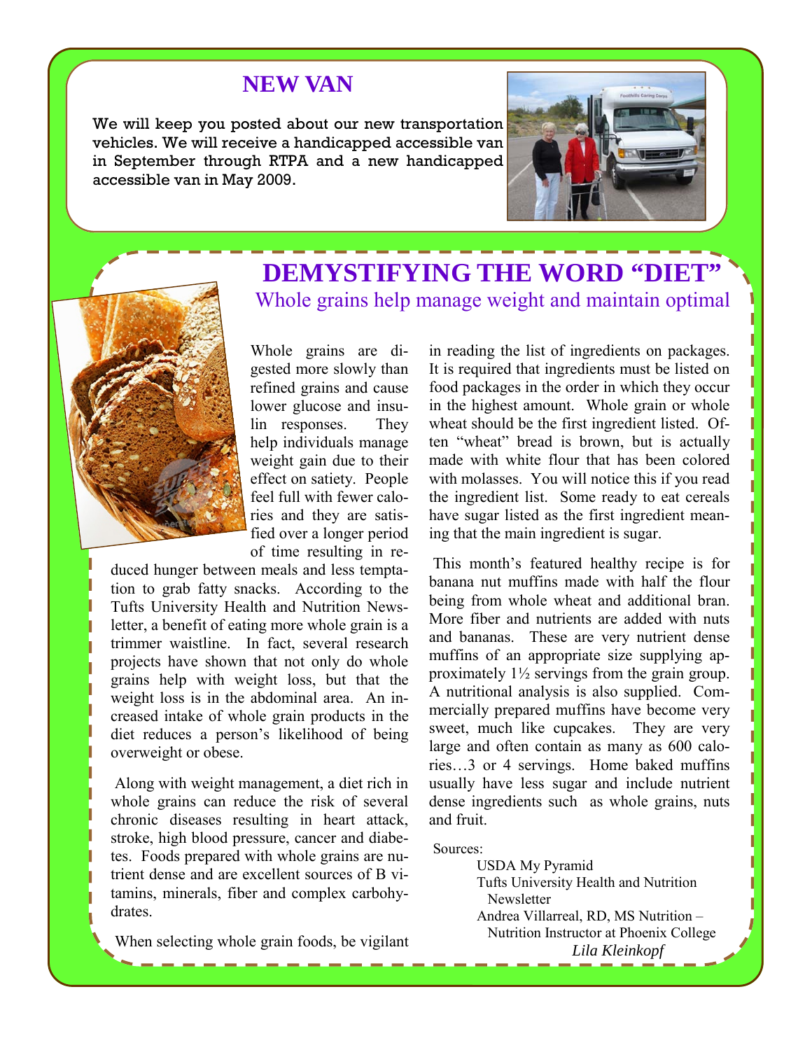#### **NEW VAN**

We will keep you posted about our new transportation vehicles. We will receive a handicapped accessible van in September through RTPA and a new handicapped accessible van in May 2009.





### **DEMYSTIFYING THE WORD "DIET"**  Whole grains help manage weight and maintain optimal

Whole grains are digested more slowly than refined grains and cause lower glucose and insulin responses. They help individuals manage weight gain due to their effect on satiety. People feel full with fewer calories and they are satisfied over a longer period of time resulting in re-

duced hunger between meals and less temptation to grab fatty snacks. According to the Tufts University Health and Nutrition Newsletter, a benefit of eating more whole grain is a trimmer waistline. In fact, several research projects have shown that not only do whole grains help with weight loss, but that the weight loss is in the abdominal area. An increased intake of whole grain products in the diet reduces a person's likelihood of being overweight or obese.

 Along with weight management, a diet rich in whole grains can reduce the risk of several chronic diseases resulting in heart attack, stroke, high blood pressure, cancer and diabetes. Foods prepared with whole grains are nutrient dense and are excellent sources of B vitamins, minerals, fiber and complex carbohydrates.

When selecting whole grain foods, be vigilant

in reading the list of ingredients on packages. It is required that ingredients must be listed on food packages in the order in which they occur in the highest amount. Whole grain or whole wheat should be the first ingredient listed. Often "wheat" bread is brown, but is actually made with white flour that has been colored with molasses. You will notice this if you read the ingredient list. Some ready to eat cereals have sugar listed as the first ingredient meaning that the main ingredient is sugar.

 This month's featured healthy recipe is for banana nut muffins made with half the flour being from whole wheat and additional bran. More fiber and nutrients are added with nuts and bananas. These are very nutrient dense muffins of an appropriate size supplying approximately 1½ servings from the grain group. A nutritional analysis is also supplied. Commercially prepared muffins have become very sweet, much like cupcakes. They are very large and often contain as many as 600 calories…3 or 4 servings. Home baked muffins usually have less sugar and include nutrient dense ingredients such as whole grains, nuts and fruit.

Sources:

USDA My Pyramid Tufts University Health and Nutrition **Newsletter** Andrea Villarreal, RD, MS Nutrition – Nutrition Instructor at Phoenix College *Lila Kleinkopf*